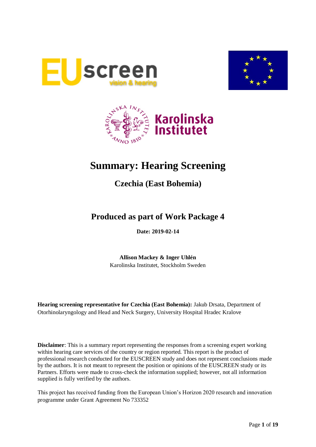





# **Summary: Hearing Screening**

# **Czechia (East Bohemia)**

# **Produced as part of Work Package 4**

**Date: 2019-02-14**

**Allison Mackey & Inger Uhlén** Karolinska Institutet, Stockholm Sweden

**Hearing screening representative for Czechia (East Bohemia):** Jakub Drsata, Department of Otorhinolaryngology and Head and Neck Surgery, University Hospital Hradec Kralove

**Disclaimer**: This is a summary report representing the responses from a screening expert working within hearing care services of the country or region reported. This report is the product of professional research conducted for the EUSCREEN study and does not represent conclusions made by the authors. It is not meant to represent the position or opinions of the EUSCREEN study or its Partners. Efforts were made to cross-check the information supplied; however, not all information supplied is fully verified by the authors.

This project has received funding from the European Union's Horizon 2020 research and innovation programme under Grant Agreement No 733352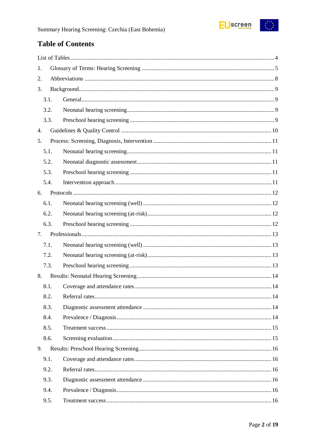

# **Table of Contents**

| 1. |      |  |
|----|------|--|
| 2. |      |  |
| 3. |      |  |
|    | 3.1. |  |
|    | 3.2. |  |
|    | 3.3. |  |
| 4. |      |  |
| 5. |      |  |
|    | 5.1. |  |
|    | 5.2. |  |
|    | 5.3. |  |
|    | 5.4. |  |
| 6. |      |  |
|    | 6.1. |  |
|    | 6.2. |  |
|    | 6.3. |  |
| 7. |      |  |
|    | 7.1. |  |
|    | 7.2. |  |
|    | 7.3. |  |
| 8. |      |  |
|    | 8.1. |  |
|    | 8.2. |  |
|    | 8.3. |  |
|    | 8.4. |  |
|    | 8.5. |  |
|    | 8.6. |  |
| 9. |      |  |
|    | 9.1. |  |
|    | 9.2. |  |
|    | 9.3. |  |
|    | 9.4. |  |
|    | 9.5. |  |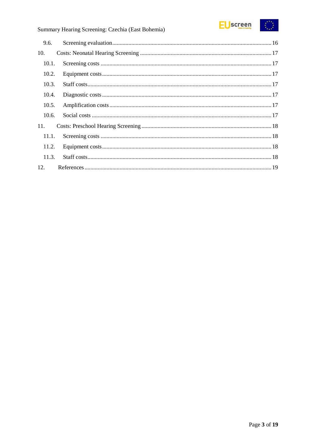

# Summary Hearing Screening: Czechia (East Bohemia)

| 9.6.  |  |
|-------|--|
| 10.   |  |
| 10.1. |  |
| 10.2. |  |
| 10.3. |  |
| 10.4. |  |
| 10.5. |  |
| 10.6. |  |
| 11.   |  |
| 11.1. |  |
| 11.2. |  |
| 11.3. |  |
| 12.   |  |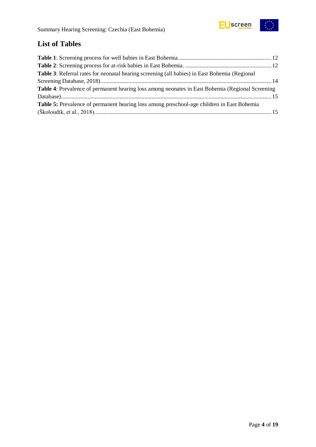

# <span id="page-3-0"></span>**List of Tables**

| Table 3: Referral rates for neonatal hearing screening (all babies) in East Bohemia (Regional           |  |
|---------------------------------------------------------------------------------------------------------|--|
|                                                                                                         |  |
| <b>Table 4:</b> Prevalence of permanent hearing loss among neonates in East Bohemia (Regional Screening |  |
|                                                                                                         |  |
| Table 5: Prevalence of permanent hearing loss among preschool-age children in East Bohemia              |  |
|                                                                                                         |  |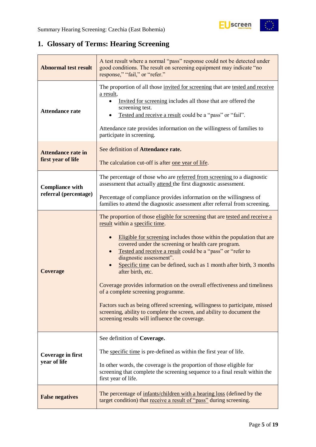# <span id="page-4-0"></span>**1. Glossary of Terms: Hearing Screening**

| <b>Abnormal test result</b>                     | A test result where a normal "pass" response could not be detected under<br>good conditions. The result on screening equipment may indicate "no<br>response," "fail," or "refer."                                                                                                                                                                                                                                                                                                                                                                                                                                                                                                                                                                                |  |  |  |
|-------------------------------------------------|------------------------------------------------------------------------------------------------------------------------------------------------------------------------------------------------------------------------------------------------------------------------------------------------------------------------------------------------------------------------------------------------------------------------------------------------------------------------------------------------------------------------------------------------------------------------------------------------------------------------------------------------------------------------------------------------------------------------------------------------------------------|--|--|--|
| <b>Attendance rate</b>                          | The proportion of all those invited for screening that are tested and receive<br>a result,<br>Invited for screening includes all those that are offered the<br>screening test.<br>Tested and receive a result could be a "pass" or "fail".<br>Attendance rate provides information on the willingness of families to<br>participate in screening.                                                                                                                                                                                                                                                                                                                                                                                                                |  |  |  |
| <b>Attendance rate in</b><br>first year of life | See definition of Attendance rate.<br>The calculation cut-off is after one year of life.                                                                                                                                                                                                                                                                                                                                                                                                                                                                                                                                                                                                                                                                         |  |  |  |
| <b>Compliance with</b><br>referral (percentage) | The percentage of those who are referred from screening to a diagnostic<br>assessment that actually attend the first diagnostic assessment.                                                                                                                                                                                                                                                                                                                                                                                                                                                                                                                                                                                                                      |  |  |  |
|                                                 | Percentage of compliance provides information on the willingness of<br>families to attend the diagnostic assessment after referral from screening.                                                                                                                                                                                                                                                                                                                                                                                                                                                                                                                                                                                                               |  |  |  |
| <b>Coverage</b>                                 | The proportion of those eligible for screening that are tested and receive a<br>result within a specific time.<br>Eligible for screening includes those within the population that are<br>covered under the screening or health care program.<br>Tested and receive a result could be a "pass" or "refer to<br>diagnostic assessment".<br>Specific time can be defined, such as 1 month after birth, 3 months<br>after birth, etc.<br>Coverage provides information on the overall effectiveness and timeliness<br>of a complete screening programme.<br>Factors such as being offered screening, willingness to participate, missed<br>screening, ability to complete the screen, and ability to document the<br>screening results will influence the coverage. |  |  |  |
|                                                 | See definition of Coverage.                                                                                                                                                                                                                                                                                                                                                                                                                                                                                                                                                                                                                                                                                                                                      |  |  |  |
| Coverage in first<br>year of life               | The specific time is pre-defined as within the first year of life.<br>In other words, the coverage is the proportion of those eligible for<br>screening that complete the screening sequence to a final result within the<br>first year of life.                                                                                                                                                                                                                                                                                                                                                                                                                                                                                                                 |  |  |  |
| <b>False negatives</b>                          | The percentage of infants/children with a hearing loss (defined by the<br>target condition) that receive a result of "pass" during screening.                                                                                                                                                                                                                                                                                                                                                                                                                                                                                                                                                                                                                    |  |  |  |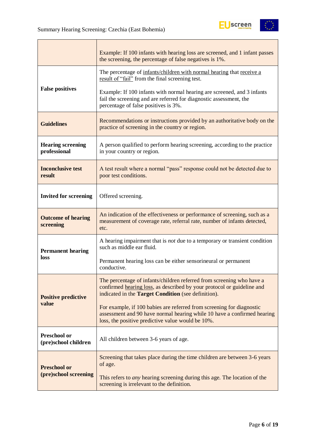

|                                          | Example: If 100 infants with hearing loss are screened, and 1 infant passes<br>the screening, the percentage of false negatives is 1%.                                                                 |  |  |  |  |
|------------------------------------------|--------------------------------------------------------------------------------------------------------------------------------------------------------------------------------------------------------|--|--|--|--|
|                                          | The percentage of infants/children with normal hearing that receive a<br>result of "fail" from the final screening test.                                                                               |  |  |  |  |
| <b>False positives</b>                   | Example: If 100 infants with normal hearing are screened, and 3 infants<br>fail the screening and are referred for diagnostic assessment, the<br>percentage of false positives is 3%.                  |  |  |  |  |
| <b>Guidelines</b>                        | Recommendations or instructions provided by an authoritative body on the<br>practice of screening in the country or region.                                                                            |  |  |  |  |
| <b>Hearing screening</b><br>professional | A person qualified to perform hearing screening, according to the practice<br>in your country or region.                                                                                               |  |  |  |  |
| <b>Inconclusive test</b><br>result       | A test result where a normal "pass" response could not be detected due to<br>poor test conditions.                                                                                                     |  |  |  |  |
| <b>Invited for screening</b>             | Offered screening.                                                                                                                                                                                     |  |  |  |  |
| <b>Outcome of hearing</b><br>screening   | An indication of the effectiveness or performance of screening, such as a<br>measurement of coverage rate, referral rate, number of infants detected,<br>etc.                                          |  |  |  |  |
| <b>Permanent hearing</b>                 | A hearing impairment that is <i>not</i> due to a temporary or transient condition<br>such as middle ear fluid.                                                                                         |  |  |  |  |
| loss                                     | Permanent hearing loss can be either sensorineural or permanent<br>conductive.                                                                                                                         |  |  |  |  |
| <b>Positive predictive</b>               | The percentage of infants/children referred from screening who have a<br>confirmed hearing loss, as described by your protocol or guideline and<br>indicated in the Target Condition (see definition). |  |  |  |  |
| value                                    | For example, if 100 babies are referred from screening for diagnostic<br>assessment and 90 have normal hearing while 10 have a confirmed hearing<br>loss, the positive predictive value would be 10%.  |  |  |  |  |
| Preschool or<br>(pre)school children     | All children between 3-6 years of age.                                                                                                                                                                 |  |  |  |  |
| <b>Preschool or</b>                      | Screening that takes place during the time children are between 3-6 years<br>of age.                                                                                                                   |  |  |  |  |
| (pre)school screening                    | This refers to <i>any</i> hearing screening during this age. The location of the<br>screening is irrelevant to the definition.                                                                         |  |  |  |  |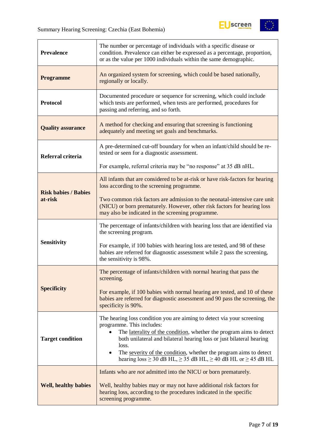

| <b>Prevalence</b>           | The number or percentage of individuals with a specific disease or<br>condition. Prevalence can either be expressed as a percentage, proportion,<br>or as the value per 1000 individuals within the same demographic.                                                                                                                                                                                             |  |  |  |  |
|-----------------------------|-------------------------------------------------------------------------------------------------------------------------------------------------------------------------------------------------------------------------------------------------------------------------------------------------------------------------------------------------------------------------------------------------------------------|--|--|--|--|
| <b>Programme</b>            | An organized system for screening, which could be based nationally,<br>regionally or locally.                                                                                                                                                                                                                                                                                                                     |  |  |  |  |
| <b>Protocol</b>             | Documented procedure or sequence for screening, which could include<br>which tests are performed, when tests are performed, procedures for<br>passing and referring, and so forth.                                                                                                                                                                                                                                |  |  |  |  |
| <b>Quality assurance</b>    | A method for checking and ensuring that screening is functioning<br>adequately and meeting set goals and benchmarks.                                                                                                                                                                                                                                                                                              |  |  |  |  |
| Referral criteria           | A pre-determined cut-off boundary for when an infant/child should be re-<br>tested or seen for a diagnostic assessment.                                                                                                                                                                                                                                                                                           |  |  |  |  |
|                             | For example, referral criteria may be "no response" at 35 dB nHL.                                                                                                                                                                                                                                                                                                                                                 |  |  |  |  |
| <b>Risk babies / Babies</b> | All infants that are considered to be at-risk or have risk-factors for hearing<br>loss according to the screening programme.                                                                                                                                                                                                                                                                                      |  |  |  |  |
| at-risk                     | Two common risk factors are admission to the neonatal-intensive care unit<br>(NICU) or born prematurely. However, other risk factors for hearing loss<br>may also be indicated in the screening programme.                                                                                                                                                                                                        |  |  |  |  |
|                             | The percentage of infants/children with hearing loss that are identified via<br>the screening program.                                                                                                                                                                                                                                                                                                            |  |  |  |  |
| <b>Sensitivity</b>          | For example, if 100 babies with hearing loss are tested, and 98 of these<br>babies are referred for diagnostic assessment while 2 pass the screening,<br>the sensitivity is 98%.                                                                                                                                                                                                                                  |  |  |  |  |
|                             | The percentage of infants/children with normal hearing that pass the<br>screening.                                                                                                                                                                                                                                                                                                                                |  |  |  |  |
| <b>Specificity</b>          | For example, if 100 babies with normal hearing are tested, and 10 of these<br>babies are referred for diagnostic assessment and 90 pass the screening, the<br>specificity is 90%.                                                                                                                                                                                                                                 |  |  |  |  |
| <b>Target condition</b>     | The hearing loss condition you are aiming to detect via your screening<br>programme. This includes:<br>The laterality of the condition, whether the program aims to detect<br>both unilateral and bilateral hearing loss or just bilateral hearing<br>loss.<br>The severity of the condition, whether the program aims to detect<br>hearing $loss \ge 30$ dB HL, $\ge 35$ dB HL, $\ge 40$ dB HL or $\ge 45$ dB HL |  |  |  |  |
| <b>Well, healthy babies</b> | Infants who are <i>not</i> admitted into the NICU or born prematurely.<br>Well, healthy babies may or may not have additional risk factors for<br>hearing loss, according to the procedures indicated in the specific<br>screening programme.                                                                                                                                                                     |  |  |  |  |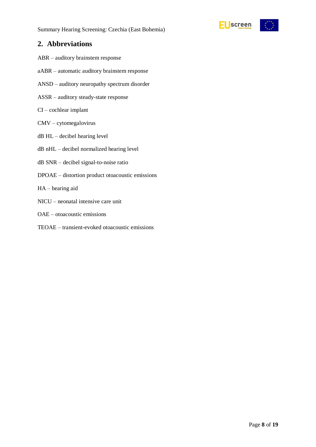

### <span id="page-7-0"></span>**2. Abbreviations**

- ABR auditory brainstem response
- aABR automatic auditory brainstem response
- ANSD auditory neuropathy spectrum disorder
- ASSR auditory steady-state response
- CI cochlear implant
- CMV cytomegalovirus
- dB HL decibel hearing level
- dB nHL decibel normalized hearing level
- dB SNR decibel signal-to-noise ratio
- DPOAE distortion product otoacoustic emissions
- HA hearing aid
- NICU neonatal intensive care unit
- OAE otoacoustic emissions
- TEOAE transient-evoked otoacoustic emissions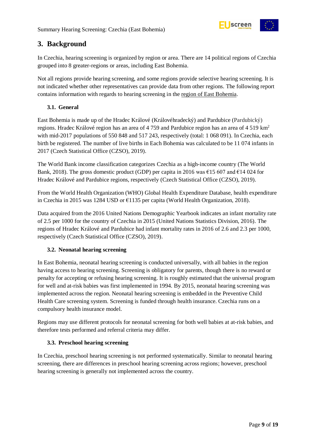

# <span id="page-8-0"></span>**3. Background**

In Czechia, hearing screening is organized by region or area. There are 14 political regions of Czechia grouped into 8 greater-regions or areas, including East Bohemia.

Not all regions provide hearing screening, and some regions provide selective hearing screening. It is not indicated whether other representatives can provide data from other regions. The following report contains information with regards to hearing screening in the region of East Bohemia.

#### <span id="page-8-1"></span>**3.1. General**

East Bohemia is made up of the Hradec Králové (Královéhradecký) and Pardubice (Pardubický) regions. Hradec Králové region has an area of 4 759 and Pardubice region has an area of 4 519 km<sup>2</sup> with mid-2017 populations of 550 848 and 517 243, respectively (total: 1 068 091). In Czechia, each birth be registered. The number of live births in Each Bohemia was calculated to be 11 074 infants in 2017 (Czech Statistical Office (CZSO), 2019).

The World Bank income classification categorizes Czechia as a high-income country (The World Bank, 2018). The gross domestic product (GDP) per capita in 2016 was  $\epsilon$ 15 607 and  $\epsilon$ 14 024 for Hradec Králové and Pardubice regions, respectively (Czech Statistical Office (CZSO), 2019).

From the World Health Organization (WHO) Global Health Expenditure Database, health expenditure in Czechia in 2015 was 1284 USD or €1135 per capita (World Health Organization, 2018).

Data acquired from the 2016 United Nations Demographic Yearbook indicates an infant mortality rate of 2.5 per 1000 for the country of Czechia in 2015 (United Nations Statistics Division, 2016). The regions of Hradec Králové and Pardubice had infant mortality rates in 2016 of 2.6 and 2.3 per 1000, respectively (Czech Statistical Office (CZSO), 2019).

#### <span id="page-8-2"></span>**3.2. Neonatal hearing screening**

In East Bohemia, neonatal hearing screening is conducted universally, with all babies in the region having access to hearing screening. Screening is obligatory for parents, though there is no reward or penalty for accepting or refusing hearing screening. It is roughly estimated that the universal program for well and at-risk babies was first implemented in 1994. By 2015, neonatal hearing screening was implemented across the region. Neonatal hearing screening is embedded in the Preventive Child Health Care screening system. Screening is funded through health insurance. Czechia runs on a compulsory health insurance model.

Regions may use different protocols for neonatal screening for both well babies at at-risk babies, and therefore tests performed and referral criteria may differ.

#### <span id="page-8-3"></span>**3.3. Preschool hearing screening**

In Czechia, preschool hearing screening is not performed systematically. Similar to neonatal hearing screening, there are differences in preschool hearing screening across regions; however, preschool hearing screening is generally not implemented across the country.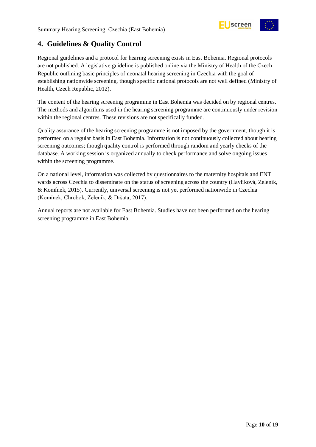<span id="page-9-0"></span>

Regional guidelines and a protocol for hearing screening exists in East Bohemia. Regional protocols are not published. A legislative guideline is published online via the Ministry of Health of the Czech Republic outlining basic principles of neonatal hearing screening in Czechia with the goal of establishing nationwide screening, though specific national protocols are not well defined (Ministry of Health, Czech Republic, 2012).

The content of the hearing screening programme in East Bohemia was decided on by regional centres. The methods and algorithms used in the hearing screening programme are continuously under revision within the regional centres. These revisions are not specifically funded.

Quality assurance of the hearing screening programme is not imposed by the government, though it is performed on a regular basis in East Bohemia. Information is not continuously collected about hearing screening outcomes; though quality control is performed through random and yearly checks of the database. A working session is organized annually to check performance and solve ongoing issues within the screening programme.

On a national level, information was collected by questionnaires to the maternity hospitals and ENT wards across Czechia to disseminate on the status of screening across the country (Havlíková, Zeleník, & Komínek, 2015). Currently, universal screening is not yet performed nationwide in Czechia (Komínek, Chrobok, Zeleník, & Dršata, 2017).

Annual reports are not available for East Bohemia. Studies have not been performed on the hearing screening programme in East Bohemia.

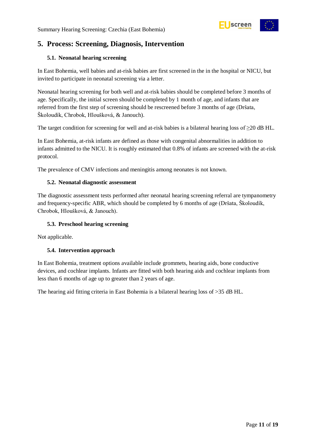

# <span id="page-10-0"></span>**5. Process: Screening, Diagnosis, Intervention**

#### <span id="page-10-1"></span>**5.1. Neonatal hearing screening**

In East Bohemia, well babies and at-risk babies are first screened in the in the hospital or NICU, but invited to participate in neonatal screening via a letter.

Neonatal hearing screening for both well and at-risk babies should be completed before 3 months of age. Specifically, the initial screen should be completed by 1 month of age, and infants that are referred from the first step of screening should be rescreened before 3 months of age (Dršata, Školoudík, Chrobok, Hloušková, & Janouch).

The target condition for screening for well and at-risk babies is a bilateral hearing loss of  $\geq$ 20 dB HL.

In East Bohemia, at-risk infants are defined as those with congenital abnormalities in addition to infants admitted to the NICU. It is roughly estimated that 0.8% of infants are screened with the at-risk protocol.

The prevalence of CMV infections and meningitis among neonates is not known.

#### <span id="page-10-2"></span>**5.2. Neonatal diagnostic assessment**

The diagnostic assessment tests performed after neonatal hearing screening referral are tympanometry and frequency-specific ABR, which should be completed by 6 months of age (Dršata, Školoudík, Chrobok, Hloušková, & Janouch).

#### <span id="page-10-3"></span>**5.3. Preschool hearing screening**

Not applicable.

#### <span id="page-10-4"></span>**5.4. Intervention approach**

In East Bohemia, treatment options available include grommets, hearing aids, bone conductive devices, and cochlear implants. Infants are fitted with both hearing aids and cochlear implants from less than 6 months of age up to greater than 2 years of age.

The hearing aid fitting criteria in East Bohemia is a bilateral hearing loss of >35 dB HL.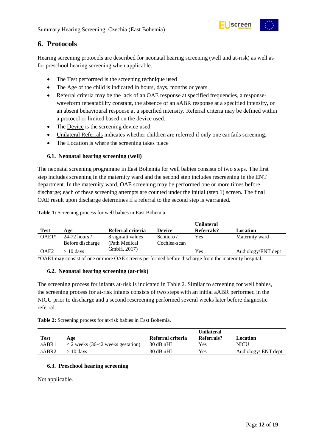

### <span id="page-11-0"></span>**6. Protocols**

Hearing screening protocols are described for neonatal hearing screening (well and at-risk) as well as for preschool hearing screening when applicable.

- The Test performed is the screening technique used
- The Age of the child is indicated in hours, days, months or years
- Referral criteria may be the lack of an OAE response at specified frequencies, a responsewaveform repeatability constant, the absence of an aABR response at a specified intensity, or an absent behavioural response at a specified intensity. Referral criteria may be defined within a protocol or limited based on the device used.
- The Device is the screening device used.
- Unilateral Referrals indicates whether children are referred if only one ear fails screening.
- The Location is where the screening takes place

#### <span id="page-11-1"></span>**6.1. Neonatal hearing screening (well)**

The neonatal screening programme in East Bohemia for well babies consists of two steps. The first step includes screening in the maternity ward and the second step includes rescreening in the ENT department. In the maternity ward, OAE screening may be performed one or more times before discharge; each of these screening attempts are counted under the initial (step 1) screen. The final OAE result upon discharge determines if a referral to the second step is warranted.

|                  |                  |                   |               | <b>Unilateral</b> |                    |
|------------------|------------------|-------------------|---------------|-------------------|--------------------|
| <b>Test</b>      | Age              | Referral criteria | <b>Device</b> | Referrals?        | Location           |
| $OAE1*$          | 24-72 hours /    | 8 sign-alt values | Sentiero /    | Yes               | Maternity ward     |
|                  | Before discharge | (Path Medical)    | Cochlea-scan  |                   |                    |
| OAE <sub>2</sub> | $>10$ days       | GmbH, 2017)       |               | Yes               | Audiology/ENT dept |

<span id="page-11-4"></span>**Table 1:** Screening process for well babies in East Bohemia.

\*OAE1 may consist of one or more OAE screens performed before discharge from the maternity hospital.

#### <span id="page-11-2"></span>**6.2. Neonatal hearing screening (at-risk)**

The screening process for infants at-risk is indicated in Table 2. Similar to screening for well babies, the screening process for at-risk infants consists of two steps with an initial aABR performed in the NICU prior to discharge and a second rescreening performed several weeks later before diagnostic referral.

<span id="page-11-5"></span>**Table 2:** Screening process for at-risk babies in East Bohemia.

| Test  | Age                                       | Referral criteria | <b>Unilateral</b><br>Referrals? | Location            |
|-------|-------------------------------------------|-------------------|---------------------------------|---------------------|
| aABR1 | $\langle$ 2 weeks (36-42 weeks gestation) | 30 dB nHL         | Yes                             | NICU                |
| aABR2 | $>10~{\rm{days}}$                         | $30$ dB nHL       | Yes                             | Audiology/ ENT dept |

#### <span id="page-11-3"></span>**6.3. Preschool hearing screening**

Not applicable.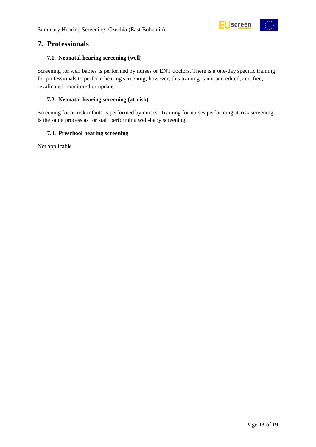

### <span id="page-12-0"></span>**7. Professionals**

#### <span id="page-12-1"></span>**7.1. Neonatal hearing screening (well)**

Screening for well babies is performed by nurses or ENT doctors. There is a one-day specific training for professionals to perform hearing screening; however, this training is not accredited, certified, revalidated, monitored or updated.

#### <span id="page-12-2"></span>**7.2. Neonatal hearing screening (at-risk)**

Screening for at-risk infants is performed by nurses. Training for nurses performing at-risk screening is the same process as for staff performing well-baby screening.

#### <span id="page-12-3"></span>**7.3. Preschool hearing screening**

Not applicable.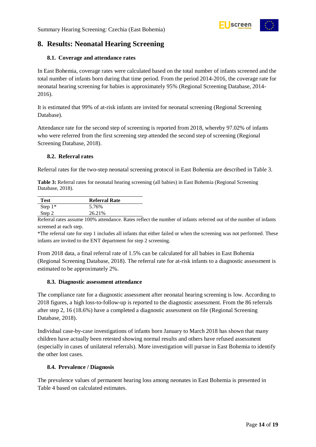

# <span id="page-13-0"></span>**8. Results: Neonatal Hearing Screening**

#### <span id="page-13-1"></span>**8.1. Coverage and attendance rates**

In East Bohemia, coverage rates were calculated based on the total number of infants screened and the total number of infants born during that time period. From the period 2014-2016, the coverage rate for neonatal hearing screening for babies is approximately 95% (Regional Screening Database, 2014- 2016).

It is estimated that 99% of at-risk infants are invited for neonatal screening (Regional Screening Database).

Attendance rate for the second step of screening is reported from 2018, whereby 97.02% of infants who were referred from the first screening step attended the second step of screening (Regional Screening Database, 2018).

#### <span id="page-13-2"></span>**8.2. Referral rates**

Referral rates for the two-step neonatal screening protocol in East Bohemia are described in Table 3.

<span id="page-13-5"></span>**Table 3:** Referral rates for neonatal hearing screening (all babies) in East Bohemia (Regional Screening Database, 2018).

| <b>Test</b> | <b>Referral Rate</b> |
|-------------|----------------------|
| Step $1^*$  | 5.76%                |
| Step 2      | 26.21%               |

Referral rates assume 100% attendance. Rates reflect the number of infants referred out of the number of infants screened at each step.

\*The referral rate for step 1 includes all infants that either failed or when the screening was not performed. These infants are invited to the ENT department for step 2 screening.

From 2018 data, a final referral rate of 1.5% can be calculated for all babies in East Bohemia (Regional Screening Database, 2018). The referral rate for at-risk infants to a diagnostic assessment is estimated to be approximately 2%.

#### <span id="page-13-3"></span>**8.3. Diagnostic assessment attendance**

The compliance rate for a diagnostic assessment after neonatal hearing screening is low. According to 2018 figures, a high loss-to-follow-up is reported to the diagnostic assessment. From the 86 referrals after step 2, 16 (18.6%) have a completed a diagnostic assessment on file (Regional Screening Database, 2018).

Individual case-by-case investigations of infants born January to March 2018 has shown that many children have actually been retested showing normal results and others have refused assessment (especially in cases of unilateral referrals). More investigation will pursue in East Bohemia to identify the other lost cases.

#### <span id="page-13-4"></span>**8.4. Prevalence / Diagnosis**

The prevalence values of permanent hearing loss among neonates in East Bohemia is presented in [Table 4](#page-14-2) based on calculated estimates.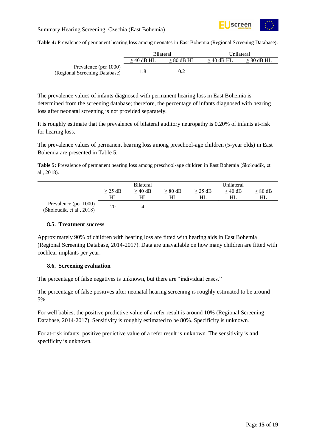

#### Summary Hearing Screening: Czechia (East Bohemia)

<span id="page-14-2"></span>**Table 4:** Prevalence of permanent hearing loss among neonates in East Bohemia (Regional Screening Database).

|                                                        | <b>Bilateral</b> |              | Unilateral   |                 |
|--------------------------------------------------------|------------------|--------------|--------------|-----------------|
|                                                        | $>$ 40 dB HL     | $> 80$ dB HL | $>$ 40 dB HL | $\geq 80$ dB HL |
| Prevalence (per 1000)<br>(Regional Screening Database) |                  | 0.2          |              |                 |

The prevalence values of infants diagnosed with permanent hearing loss in East Bohemia is determined from the screening database; therefore, the percentage of infants diagnosed with hearing loss after neonatal screening is not provided separately.

It is roughly estimate that the prevalence of bilateral auditory neuropathy is 0.20% of infants at-risk for hearing loss.

The prevalence values of permanent hearing loss among preschool-age children (5-year olds) in East Bohemia are presented in Table 5.

<span id="page-14-3"></span>**Table 5:** Prevalence of permanent hearing loss among preschool-age children in East Bohemia (Školoudík, et al., 2018).

|                                                    |           | <b>Bilateral</b> |           |           | Unilateral |           |
|----------------------------------------------------|-----------|------------------|-----------|-----------|------------|-----------|
|                                                    | $>$ 25 dB | $>$ 40 dB        | $> 80$ dB | $>$ 25 dB | $>$ 40 dB  | $> 80$ dB |
|                                                    | HL        | HL               | HL        | HL        | HL         | HL        |
| Prevalence (per 1000)<br>(Skoloudík, et al., 2018) | 20        | 4                |           |           |            |           |

#### <span id="page-14-0"></span>**8.5. Treatment success**

Approximately 90% of children with hearing loss are fitted with hearing aids in East Bohemia (Regional Screening Database, 2014-2017). Data are unavailable on how many children are fitted with cochlear implants per year.

#### <span id="page-14-1"></span>**8.6. Screening evaluation**

The percentage of false negatives is unknown, but there are "individual cases."

The percentage of false positives after neonatal hearing screening is roughly estimated to be around 5%.

For well babies, the positive predictive value of a refer result is around 10% (Regional Screening Database, 2014-2017). Sensitivity is roughly estimated to be 80%. Specificity is unknown.

For at-risk infants, positive predictive value of a refer result is unknown. The sensitivity is and specificity is unknown.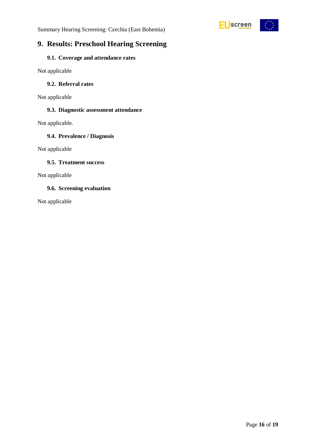



# <span id="page-15-0"></span>**9. Results: Preschool Hearing Screening**

#### <span id="page-15-1"></span>**9.1. Coverage and attendance rates**

Not applicable

#### <span id="page-15-2"></span>**9.2. Referral rates**

Not applicable

#### <span id="page-15-3"></span>**9.3. Diagnostic assessment attendance**

Not applicable.

#### <span id="page-15-4"></span>**9.4. Prevalence / Diagnosis**

Not applicable

#### <span id="page-15-5"></span>**9.5. Treatment success**

Not applicable

#### <span id="page-15-6"></span>**9.6. Screening evaluation**

Not applicable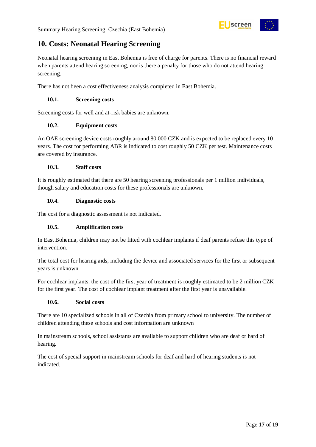

# <span id="page-16-0"></span>**10. Costs: Neonatal Hearing Screening**

Neonatal hearing screening in East Bohemia is free of charge for parents. There is no financial reward when parents attend hearing screening, nor is there a penalty for those who do not attend hearing screening.

There has not been a cost effectiveness analysis completed in East Bohemia.

#### <span id="page-16-1"></span>**10.1. Screening costs**

Screening costs for well and at-risk babies are unknown.

#### <span id="page-16-2"></span>**10.2. Equipment costs**

An OAE screening device costs roughly around 80 000 CZK and is expected to be replaced every 10 years. The cost for performing ABR is indicated to cost roughly 50 CZK per test. Maintenance costs are covered by insurance.

#### <span id="page-16-3"></span>**10.3. Staff costs**

It is roughly estimated that there are 50 hearing screening professionals per 1 million individuals, though salary and education costs for these professionals are unknown.

#### <span id="page-16-4"></span>**10.4. Diagnostic costs**

The cost for a diagnostic assessment is not indicated.

#### <span id="page-16-5"></span>**10.5. Amplification costs**

In East Bohemia, children may not be fitted with cochlear implants if deaf parents refuse this type of intervention.

The total cost for hearing aids, including the device and associated services for the first or subsequent years is unknown.

For cochlear implants, the cost of the first year of treatment is roughly estimated to be 2 million CZK for the first year. The cost of cochlear implant treatment after the first year is unavailable.

#### <span id="page-16-6"></span>**10.6. Social costs**

There are 10 specialized schools in all of Czechia from primary school to university. The number of children attending these schools and cost information are unknown

In mainstream schools, school assistants are available to support children who are deaf or hard of hearing.

The cost of special support in mainstream schools for deaf and hard of hearing students is not indicated.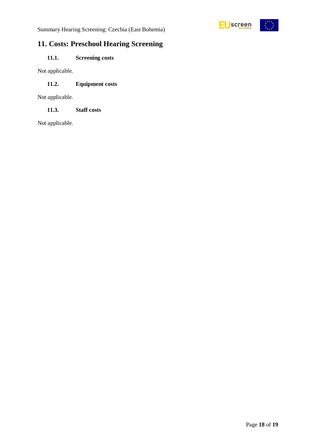

Summary Hearing Screening: Czechia (East Bohemia)

# <span id="page-17-0"></span>**11. Costs: Preschool Hearing Screening**

### <span id="page-17-1"></span>**11.1. Screening costs**

Not applicable.

#### <span id="page-17-2"></span>**11.2. Equipment costs**

Not applicable.

<span id="page-17-3"></span>**11.3. Staff costs**

Not applicable.